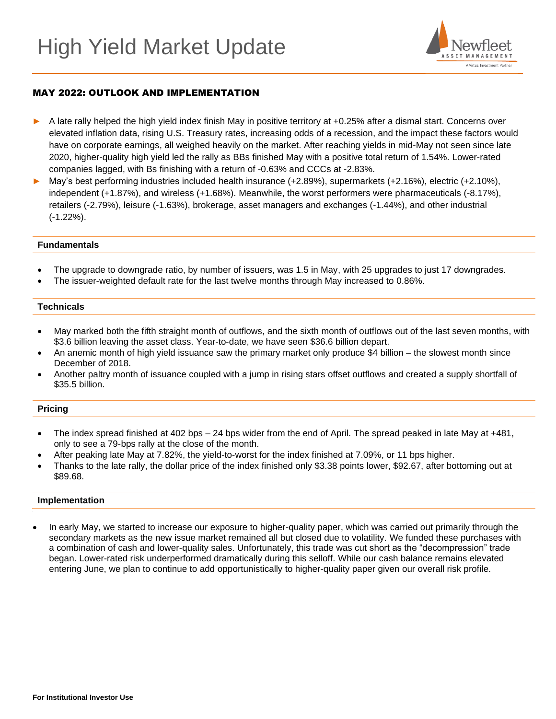

# MAY 2022: OUTLOOK AND IMPLEMENTATION

- A late rally helped the high yield index finish May in positive territory at +0.25% after a dismal start. Concerns over elevated inflation data, rising U.S. Treasury rates, increasing odds of a recession, and the impact these factors would have on corporate earnings, all weighed heavily on the market. After reaching yields in mid-May not seen since late 2020, higher-quality high yield led the rally as BBs finished May with a positive total return of 1.54%. Lower-rated companies lagged, with Bs finishing with a return of -0.63% and CCCs at -2.83%.
- May's best performing industries included health insurance (+2.89%), supermarkets (+2.16%), electric (+2.10%), independent (+1.87%), and wireless (+1.68%). Meanwhile, the worst performers were pharmaceuticals (-8.17%), retailers (-2.79%), leisure (-1.63%), brokerage, asset managers and exchanges (-1.44%), and other industrial (-1.22%).

### **Fundamentals**

- The upgrade to downgrade ratio, by number of issuers, was 1.5 in May, with 25 upgrades to just 17 downgrades.
- The issuer-weighted default rate for the last twelve months through May increased to 0.86%.

### **Technicals**

- May marked both the fifth straight month of outflows, and the sixth month of outflows out of the last seven months, with \$3.6 billion leaving the asset class. Year-to-date, we have seen \$36.6 billion depart.
- An anemic month of high yield issuance saw the primary market only produce \$4 billion the slowest month since December of 2018.
- Another paltry month of issuance coupled with a jump in rising stars offset outflows and created a supply shortfall of \$35.5 billion.

## **Pricing**

- The index spread finished at 402 bps 24 bps wider from the end of April. The spread peaked in late May at +481, only to see a 79-bps rally at the close of the month.
- After peaking late May at 7.82%, the yield-to-worst for the index finished at 7.09%, or 11 bps higher.
- Thanks to the late rally, the dollar price of the index finished only \$3.38 points lower, \$92.67, after bottoming out at \$89.68.

#### **Implementation**

• In early May, we started to increase our exposure to higher-quality paper, which was carried out primarily through the secondary markets as the new issue market remained all but closed due to volatility. We funded these purchases with a combination of cash and lower-quality sales. Unfortunately, this trade was cut short as the "decompression" trade began. Lower-rated risk underperformed dramatically during this selloff. While our cash balance remains elevated entering June, we plan to continue to add opportunistically to higher-quality paper given our overall risk profile.